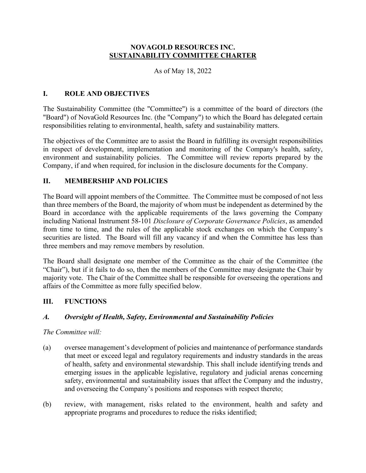## **NOVAGOLD RESOURCES INC. SUSTAINABILITY COMMITTEE CHARTER**

As of May 18, 2022

## **I. ROLE AND OBJECTIVES**

The Sustainability Committee (the "Committee") is a committee of the board of directors (the "Board") of NovaGold Resources Inc. (the "Company") to which the Board has delegated certain responsibilities relating to environmental, health, safety and sustainability matters.

The objectives of the Committee are to assist the Board in fulfilling its oversight responsibilities in respect of development, implementation and monitoring of the Company's health, safety, environment and sustainability policies. The Committee will review reports prepared by the Company, if and when required, for inclusion in the disclosure documents for the Company.

#### **II. MEMBERSHIP AND POLICIES**

The Board will appoint members of the Committee. The Committee must be composed of not less than three members of the Board, the majority of whom must be independent as determined by the Board in accordance with the applicable requirements of the laws governing the Company including National Instrument 58-101 *Disclosure of Corporate Governance Policies*, as amended from time to time, and the rules of the applicable stock exchanges on which the Company's securities are listed. The Board will fill any vacancy if and when the Committee has less than three members and may remove members by resolution.

The Board shall designate one member of the Committee as the chair of the Committee (the "Chair"), but if it fails to do so, then the members of the Committee may designate the Chair by majority vote. The Chair of the Committee shall be responsible for overseeing the operations and affairs of the Committee as more fully specified below.

## **III. FUNCTIONS**

## *A. Oversight of Health, Safety, Environmental and Sustainability Policies*

#### *The Committee will:*

- (a) oversee management's development of policies and maintenance of performance standards that meet or exceed legal and regulatory requirements and industry standards in the areas of health, safety and environmental stewardship. This shall include identifying trends and emerging issues in the applicable legislative, regulatory and judicial arenas concerning safety, environmental and sustainability issues that affect the Company and the industry, and overseeing the Company's positions and responses with respect thereto;
- (b) review, with management, risks related to the environment, health and safety and appropriate programs and procedures to reduce the risks identified;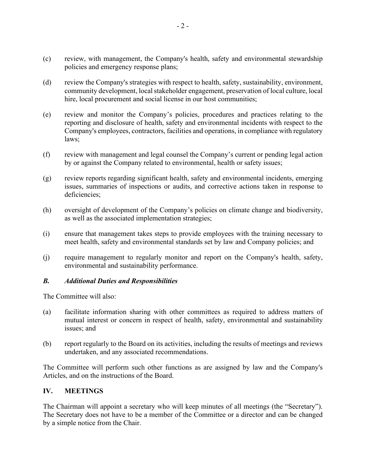- (c) review, with management, the Company's health, safety and environmental stewardship policies and emergency response plans;
- (d) review the Company's strategies with respect to health, safety, sustainability, environment, community development, local stakeholder engagement, preservation of local culture, local hire, local procurement and social license in our host communities;
- (e) review and monitor the Company's policies, procedures and practices relating to the reporting and disclosure of health, safety and environmental incidents with respect to the Company's employees, contractors, facilities and operations, in compliance with regulatory laws;
- (f) review with management and legal counsel the Company's current or pending legal action by or against the Company related to environmental, health or safety issues;
- (g) review reports regarding significant health, safety and environmental incidents, emerging issues, summaries of inspections or audits, and corrective actions taken in response to deficiencies;
- (h) oversight of development of the Company's policies on climate change and biodiversity, as well as the associated implementation strategies;
- (i) ensure that management takes steps to provide employees with the training necessary to meet health, safety and environmental standards set by law and Company policies; and
- (j) require management to regularly monitor and report on the Company's health, safety, environmental and sustainability performance.

#### *B. Additional Duties and Responsibilities*

The Committee will also:

- (a) facilitate information sharing with other committees as required to address matters of mutual interest or concern in respect of health, safety, environmental and sustainability issues; and
- (b) report regularly to the Board on its activities, including the results of meetings and reviews undertaken, and any associated recommendations.

The Committee will perform such other functions as are assigned by law and the Company's Articles, and on the instructions of the Board.

#### **IV. MEETINGS**

The Chairman will appoint a secretary who will keep minutes of all meetings (the "Secretary"). The Secretary does not have to be a member of the Committee or a director and can be changed by a simple notice from the Chair.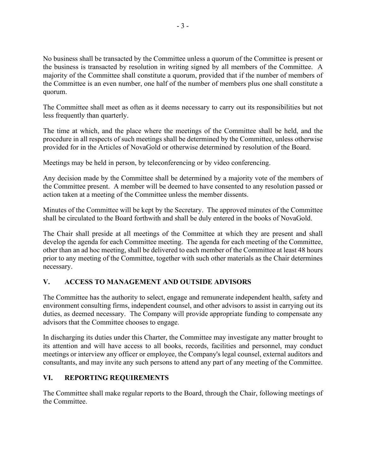No business shall be transacted by the Committee unless a quorum of the Committee is present or the business is transacted by resolution in writing signed by all members of the Committee. A majority of the Committee shall constitute a quorum, provided that if the number of members of the Committee is an even number, one half of the number of members plus one shall constitute a quorum.

The Committee shall meet as often as it deems necessary to carry out its responsibilities but not less frequently than quarterly.

The time at which, and the place where the meetings of the Committee shall be held, and the procedure in all respects of such meetings shall be determined by the Committee, unless otherwise provided for in the Articles of NovaGold or otherwise determined by resolution of the Board.

Meetings may be held in person, by teleconferencing or by video conferencing.

Any decision made by the Committee shall be determined by a majority vote of the members of the Committee present. A member will be deemed to have consented to any resolution passed or action taken at a meeting of the Committee unless the member dissents.

Minutes of the Committee will be kept by the Secretary. The approved minutes of the Committee shall be circulated to the Board forthwith and shall be duly entered in the books of NovaGold.

The Chair shall preside at all meetings of the Committee at which they are present and shall develop the agenda for each Committee meeting. The agenda for each meeting of the Committee, other than an ad hoc meeting, shall be delivered to each member of the Committee at least 48 hours prior to any meeting of the Committee, together with such other materials as the Chair determines necessary.

# **V. ACCESS TO MANAGEMENT AND OUTSIDE ADVISORS**

The Committee has the authority to select, engage and remunerate independent health, safety and environment consulting firms, independent counsel, and other advisors to assist in carrying out its duties, as deemed necessary. The Company will provide appropriate funding to compensate any advisors that the Committee chooses to engage.

In discharging its duties under this Charter, the Committee may investigate any matter brought to its attention and will have access to all books, records, facilities and personnel, may conduct meetings or interview any officer or employee, the Company's legal counsel, external auditors and consultants, and may invite any such persons to attend any part of any meeting of the Committee.

## **VI. REPORTING REQUIREMENTS**

The Committee shall make regular reports to the Board, through the Chair, following meetings of the Committee.